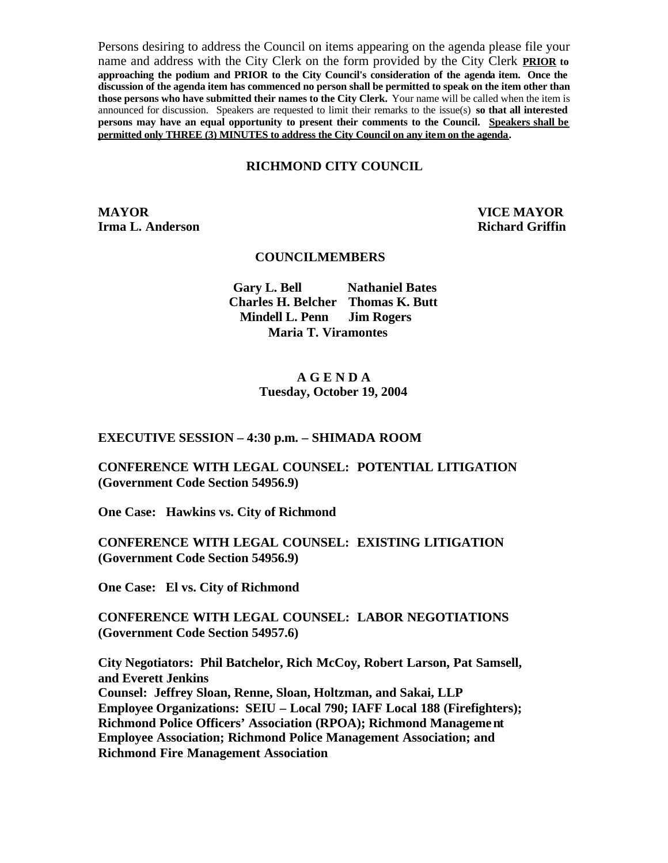Persons desiring to address the Council on items appearing on the agenda please file your name and address with the City Clerk on the form provided by the City Clerk **PRIOR to approaching the podium and PRIOR to the City Council's consideration of the agenda item. Once the discussion of the agenda item has commenced no person shall be permitted to speak on the item other than those persons who have submitted their names to the City Clerk.** Your name will be called when the item is announced for discussion. Speakers are requested to limit their remarks to the issue(s) **so that all interested persons may have an equal opportunity to present their comments to the Council. Speakers shall be permitted only THREE (3) MINUTES to address the City Council on any item on the agenda.**

#### **RICHMOND CITY COUNCIL**

**MAYOR VICE MAYOR Irma L. Anderson Richard Griffin** 

#### **COUNCILMEMBERS**

**Gary L. Bell Nathaniel Bates Charles H. Belcher Thomas K. Butt Mindell L. Penn Jim Rogers Maria T. Viramontes**

#### **A G E N D A Tuesday, October 19, 2004**

**EXECUTIVE SESSION – 4:30 p.m. – SHIMADA ROOM** 

**CONFERENCE WITH LEGAL COUNSEL: POTENTIAL LITIGATION (Government Code Section 54956.9)**

**One Case: Hawkins vs. City of Richmond**

**CONFERENCE WITH LEGAL COUNSEL: EXISTING LITIGATION (Government Code Section 54956.9)**

**One Case: El vs. City of Richmond**

**CONFERENCE WITH LEGAL COUNSEL: LABOR NEGOTIATIONS (Government Code Section 54957.6)**

**City Negotiators: Phil Batchelor, Rich McCoy, Robert Larson, Pat Samsell, and Everett Jenkins Counsel: Jeffrey Sloan, Renne, Sloan, Holtzman, and Sakai, LLP Employee Organizations: SEIU – Local 790; IAFF Local 188 (Firefighters); Richmond Police Officers' Association (RPOA); Richmond Management Employee Association; Richmond Police Management Association; and Richmond Fire Management Association**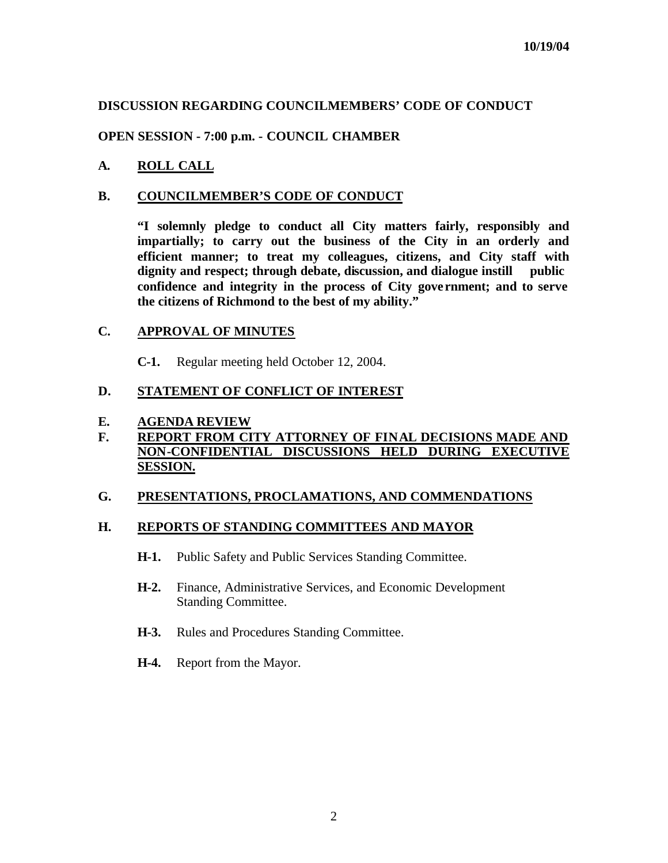# **DISCUSSION REGARDING COUNCILMEMBERS' CODE OF CONDUCT**

## **OPEN SESSION - 7:00 p.m. - COUNCIL CHAMBER**

**A. ROLL CALL**

### **B. COUNCILMEMBER'S CODE OF CONDUCT**

**"I solemnly pledge to conduct all City matters fairly, responsibly and impartially; to carry out the business of the City in an orderly and efficient manner; to treat my colleagues, citizens, and City staff with dignity and respect; through debate, discussion, and dialogue instill public confidence and integrity in the process of City gove rnment; and to serve the citizens of Richmond to the best of my ability."**

### **C. APPROVAL OF MINUTES**

**C-1.** Regular meeting held October 12, 2004.

### **D. STATEMENT OF CONFLICT OF INTEREST**

#### **E. AGENDA REVIEW**

## **F. REPORT FROM CITY ATTORNEY OF FINAL DECISIONS MADE AND NON-CONFIDENTIAL DISCUSSIONS HELD DURING EXECUTIVE SESSION.**

### **G. PRESENTATIONS, PROCLAMATIONS, AND COMMENDATIONS**

### **H. REPORTS OF STANDING COMMITTEES AND MAYOR**

- **H-1.** Public Safety and Public Services Standing Committee.
- **H-2.** Finance, Administrative Services, and Economic Development Standing Committee.
- **H-3.** Rules and Procedures Standing Committee.
- **H-4.** Report from the Mayor.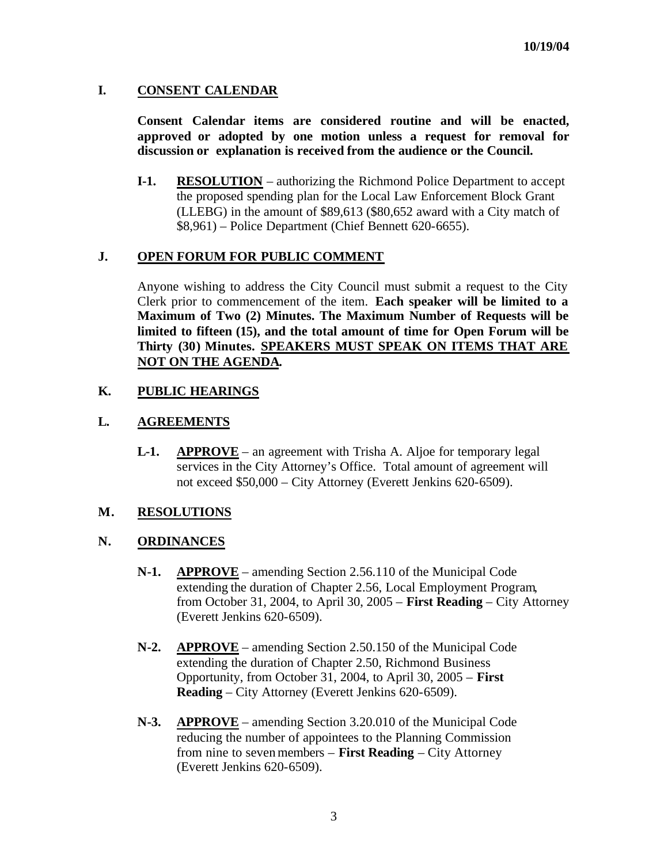### **I. CONSENT CALENDAR**

**Consent Calendar items are considered routine and will be enacted, approved or adopted by one motion unless a request for removal for discussion or explanation is received from the audience or the Council.** 

**I-1. RESOLUTION** – authorizing the Richmond Police Department to accept the proposed spending plan for the Local Law Enforcement Block Grant (LLEBG) in the amount of \$89,613 (\$80,652 award with a City match of \$8,961) – Police Department (Chief Bennett 620-6655).

### **J. OPEN FORUM FOR PUBLIC COMMENT**

Anyone wishing to address the City Council must submit a request to the City Clerk prior to commencement of the item. **Each speaker will be limited to a Maximum of Two (2) Minutes. The Maximum Number of Requests will be limited to fifteen (15), and the total amount of time for Open Forum will be Thirty (30) Minutes. SPEAKERS MUST SPEAK ON ITEMS THAT ARE NOT ON THE AGENDA.**

# **K. PUBLIC HEARINGS**

# **L. AGREEMENTS**

**L-1. APPROVE** – an agreement with Trisha A. Aljoe for temporary legal services in the City Attorney's Office. Total amount of agreement will not exceed \$50,000 – City Attorney (Everett Jenkins 620-6509).

### **M. RESOLUTIONS**

### **N. ORDINANCES**

- **N-1. APPROVE** amending Section 2.56.110 of the Municipal Code extending the duration of Chapter 2.56, Local Employment Program, from October 31, 2004, to April 30, 2005 – **First Reading** – City Attorney (Everett Jenkins 620-6509).
- **N-2. APPROVE** amending Section 2.50.150 of the Municipal Code extending the duration of Chapter 2.50, Richmond Business Opportunity, from October 31, 2004, to April 30, 2005 – **First Reading** – City Attorney (Everett Jenkins 620-6509).
- **N-3. APPROVE** amending Section 3.20.010 of the Municipal Code reducing the number of appointees to the Planning Commission from nine to seven members – **First Reading** – City Attorney (Everett Jenkins 620-6509).